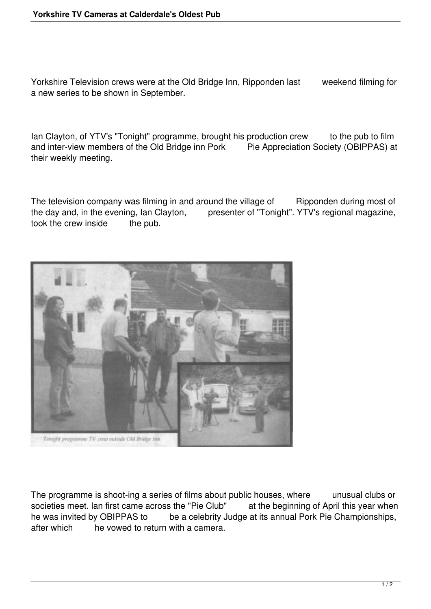Yorkshire Television crews were at the Old Bridge Inn, Ripponden last weekend filming for a new series to be shown in September.

Ian Clayton, of YTV's "Tonight" programme, brought his production crew to the pub to film and inter-view members of the Old Bridge inn Pork Pie Appreciation Society (OBIPPAS) at their weekly meeting.

The television company was filming in and around the village of Ripponden during most of the day and, in the evening, Ian Clayton, presenter of "Tonight". YTV's regional magazine, took the crew inside the pub. took the crew inside



The programme is shoot-ing a series of films about public houses, where unusual clubs or societies meet. Ian first came across the "Pie Club" at the beginning of April this year when he was invited by OBIPPAS to be a celebrity Judge at its annual Pork Pie Championships, after which he vowed to return with a camera.